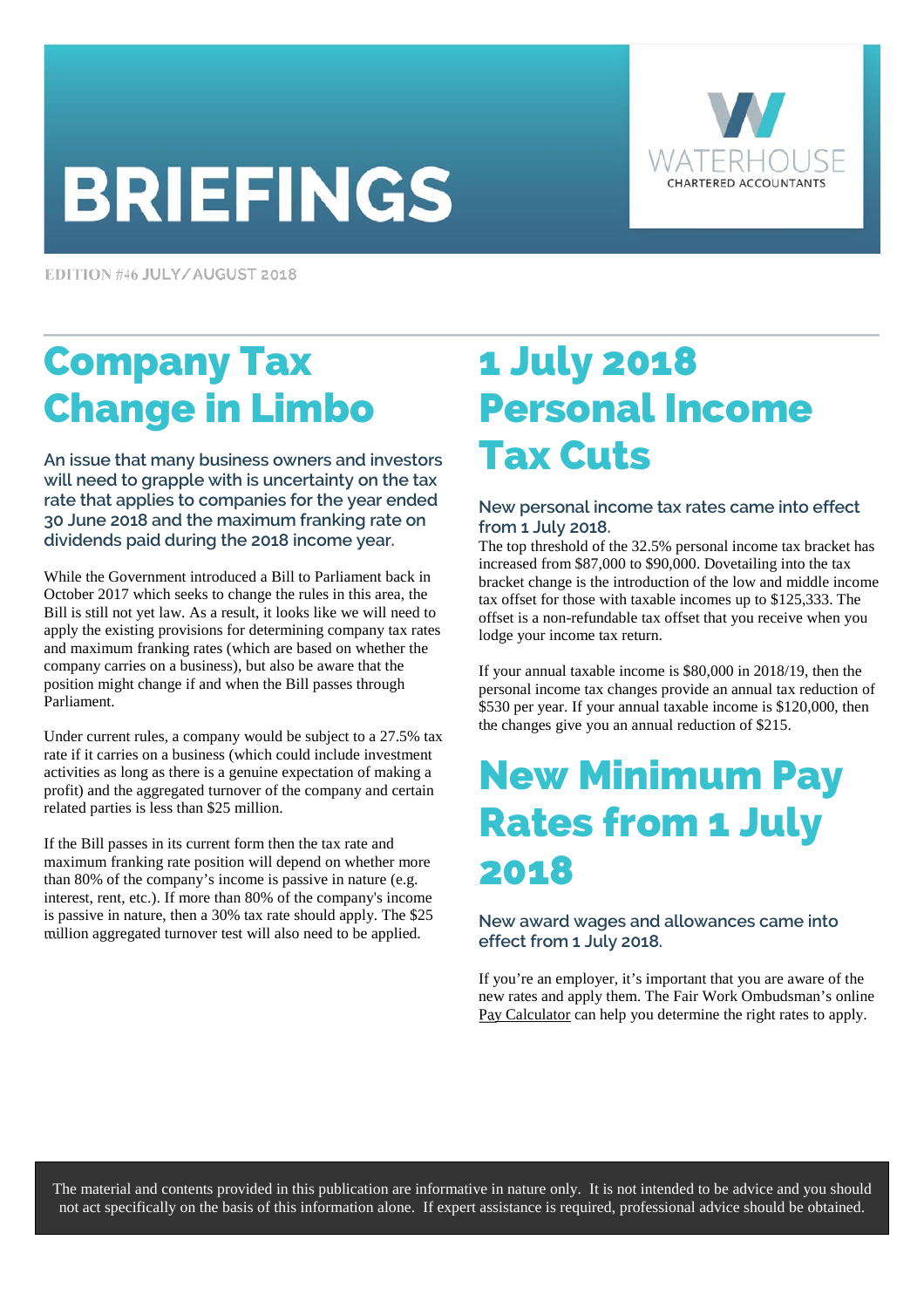# **BRIEFINGS**



EDITION #46 JULY/AUGUST 2018

# Company Tax Change in Limbo

**An issue that many business owners and investors will need to grapple with is uncertainty on the tax rate that applies to companies for the year ended 30 June 2018 and the maximum franking rate on dividends paid during the 2018 income year.** 

While the Government introduced a Bill to Parliament back in October 2017 which seeks to change the rules in this area, the Bill is still not yet law. As a result, it looks like we will need to apply the existing provisions for determining company tax rates and maximum franking rates (which are based on whether the company carries on a business), but also be aware that the position might change if and when the Bill passes through Parliament.

Under current rules, a company would be subject to a 27.5% tax rate if it carries on a business (which could include investment activities as long as there is a genuine expectation of making a profit) and the aggregated turnover of the company and certain related parties is less than \$25 million.

If the Bill passes in its current form then the tax rate and maximum franking rate position will depend on whether more than 80% of the company's income is passive in nature (e.g. interest, rent, etc.). If more than 80% of the company's income is passive in nature, then a 30% tax rate should apply. The \$25 million aggregated turnover test will also need to be applied.

### 1 July 2018 Personal Income Tax Cuts

### **New personal income tax rates came into effect from 1 July 2018.**

The top threshold of the 32.5% personal income tax bracket has increased from \$87,000 to \$90,000. Dovetailing into the tax bracket change is the introduction of the low and middle income tax offset for those with taxable incomes up to \$125,333. The offset is a non-refundable tax offset that you receive when you lodge your income tax return.

If your annual taxable income is \$80,000 in 2018/19, then the personal income tax changes provide an annual tax reduction of \$530 per year. If your annual taxable income is \$120,000, then the changes give you an annual reduction of \$215.

### New Minimum Pay Rates from 1 July 2018

### **New award wages and allowances came into effect from 1 July 2018.**

If you're an employer, it's important that you are aware of the new rates and apply them. The Fair Work Ombudsman's online [Pay Calculator](https://calculate.fairwork.gov.au/findyouraward) can help you determine the right rates to apply.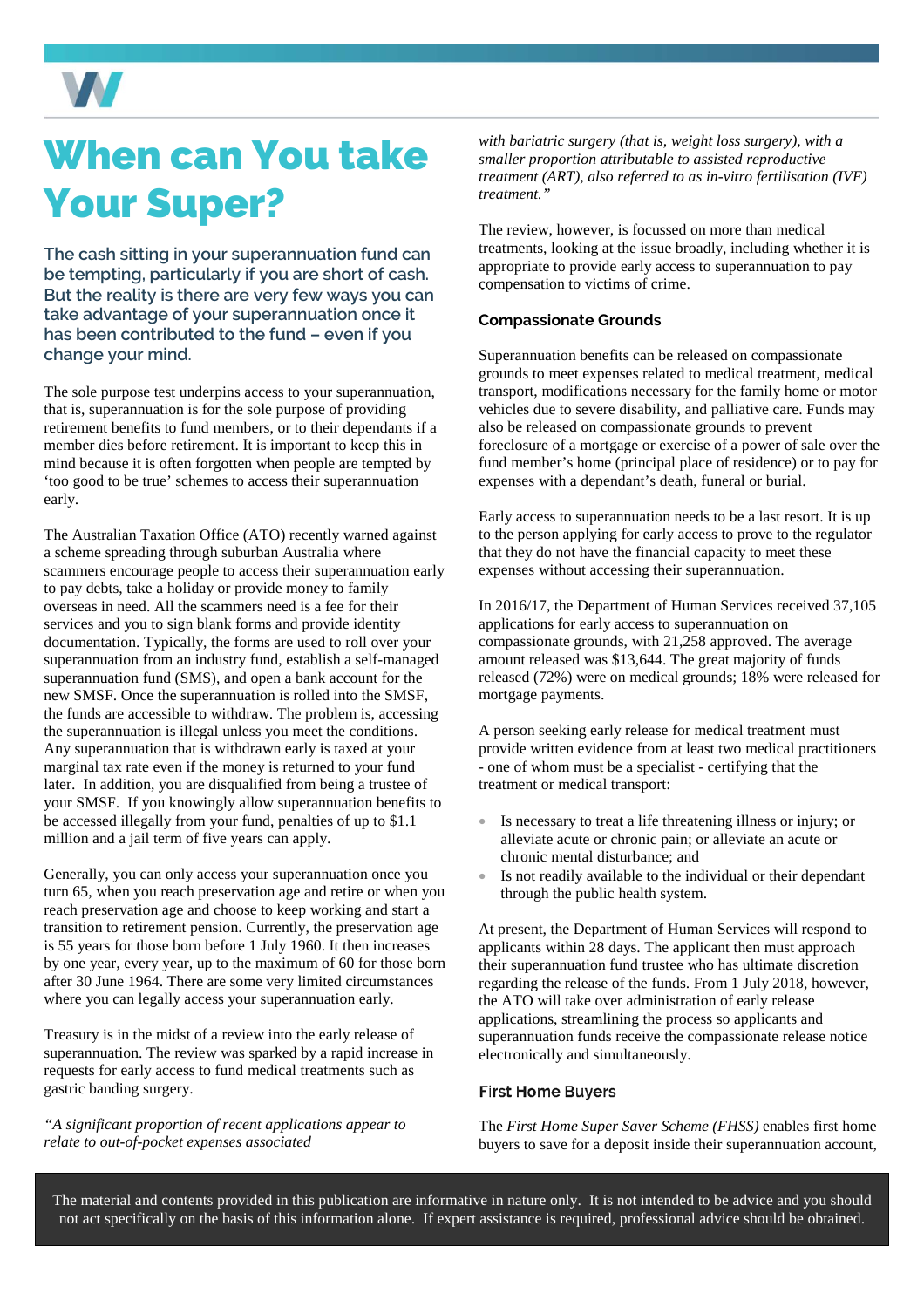

# When can You take Your Super?

**The cash sitting in your superannuation fund can be tempting, particularly if you are short of cash. But the reality is there are very few ways you can take advantage of your superannuation once it has been contributed to the fund – even if you change your mind.** 

The sole purpose test underpins access to your superannuation, that is, superannuation is for the sole purpose of providing retirement benefits to fund members, or to their dependants if a member dies before retirement. It is important to keep this in mind because it is often forgotten when people are tempted by 'too good to be true' schemes to access their superannuation early.

The Australian Taxation Office (ATO) recently warned against a scheme spreading through suburban Australia where scammers encourage people to access their superannuation early to pay debts, take a holiday or provide money to family overseas in need. All the scammers need is a fee for their services and you to sign blank forms and provide identity documentation. Typically, the forms are used to roll over your superannuation from an industry fund, establish a self-managed superannuation fund (SMS), and open a bank account for the new SMSF. Once the superannuation is rolled into the SMSF, the funds are accessible to withdraw. The problem is, accessing the superannuation is illegal unless you meet the conditions. Any superannuation that is withdrawn early is taxed at your marginal tax rate even if the money is returned to your fund later. In addition, you are disqualified from being a trustee of your SMSF. If you knowingly allow superannuation benefits to be accessed illegally from your fund, penalties of up to \$1.1 million and a jail term of five years can apply.

Generally, you can only access your superannuation once you turn 65, when you reach preservation age and retire or when you reach preservation age and choose to keep working and start a transition to retirement pension. Currently, the preservation age is 55 years for those born before 1 July 1960. It then increases by one year, every year, up to the maximum of 60 for those born after 30 June 1964. There are some very limited circumstances where you can legally access your superannuation early.

Treasury is in the midst of a review into the early release of superannuation. The review was sparked by a rapid increase in requests for early access to fund medical treatments such as gastric banding surgery.

*"A significant proportion of recent applications appear to relate to out-of-pocket expenses associated* 

*with bariatric surgery (that is, weight loss surgery), with a smaller proportion attributable to assisted reproductive treatment (ART), also referred to as in-vitro fertilisation (IVF) treatment."* 

The review, however, is focussed on more than medical treatments, looking at the issue broadly, including whether it is appropriate to provide early access to superannuation to pay compensation to victims of crime.

### **Compassionate Grounds**

Superannuation benefits can be released on compassionate grounds to meet expenses related to medical treatment, medical transport, modifications necessary for the family home or motor vehicles due to severe disability, and palliative care. Funds may also be released on compassionate grounds to prevent foreclosure of a mortgage or exercise of a power of sale over the fund member's home (principal place of residence) or to pay for expenses with a dependant's death, funeral or burial.

Early access to superannuation needs to be a last resort. It is up to the person applying for early access to prove to the regulator that they do not have the financial capacity to meet these expenses without accessing their superannuation.

In 2016/17, the Department of Human Services received 37,105 applications for early access to superannuation on compassionate grounds, with 21,258 approved. The average amount released was \$13,644. The great majority of funds released (72%) were on medical grounds; 18% were released for mortgage payments.

A person seeking early release for medical treatment must provide written evidence from at least two medical practitioners - one of whom must be a specialist - certifying that the treatment or medical transport:

- Is necessary to treat a life threatening illness or injury; or alleviate acute or chronic pain; or alleviate an acute or chronic mental disturbance; and
- Is not readily available to the individual or their dependant through the public health system.

At present, the Department of Human Services will respond to applicants within 28 days. The applicant then must approach their superannuation fund trustee who has ultimate discretion regarding the release of the funds. From 1 July 2018, however, the ATO will take over administration of early release applications, streamlining the process so applicants and superannuation funds receive the compassionate release notice electronically and simultaneously.

### **First Home Buyers**

The *First Home Super Saver Scheme (FHSS)* enables first home buyers to save for a deposit inside their superannuation account,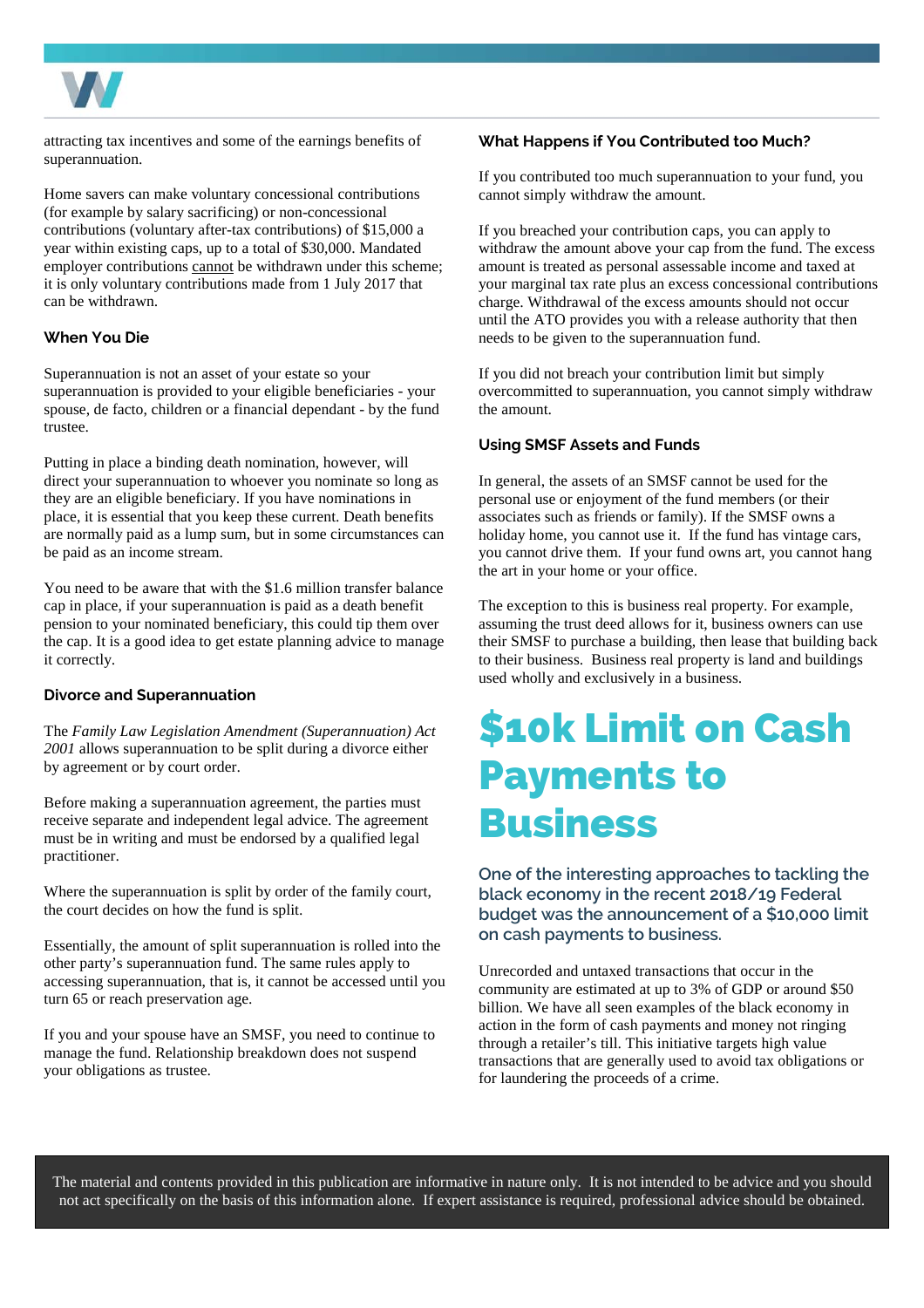

attracting tax incentives and some of the earnings benefits of superannuation.

Home savers can make voluntary concessional contributions (for example by salary sacrificing) or non-concessional contributions (voluntary after-tax contributions) of \$15,000 a year within existing caps, up to a total of \$30,000. Mandated employer contributions cannot be withdrawn under this scheme; it is only voluntary contributions made from 1 July 2017 that can be withdrawn.

### **When You Die**

Superannuation is not an asset of your estate so your superannuation is provided to your eligible beneficiaries - your spouse, de facto, children or a financial dependant - by the fund trustee.

Putting in place a binding death nomination, however, will direct your superannuation to whoever you nominate so long as they are an eligible beneficiary. If you have nominations in place, it is essential that you keep these current. Death benefits are normally paid as a lump sum, but in some circumstances can be paid as an income stream.

You need to be aware that with the \$1.6 million transfer balance cap in place, if your superannuation is paid as a death benefit pension to your nominated beneficiary, this could tip them over the cap. It is a good idea to get estate planning advice to manage it correctly.

#### **Divorce and Superannuation**

The *Family Law Legislation Amendment (Superannuation) Act 2001* allows superannuation to be split during a divorce either by agreement or by court order.

Before making a superannuation agreement, the parties must receive separate and independent legal advice. The agreement must be in writing and must be endorsed by a qualified legal practitioner.

Where the superannuation is split by order of the family court, the court decides on how the fund is split.

Essentially, the amount of split superannuation is rolled into the other party's superannuation fund. The same rules apply to accessing superannuation, that is, it cannot be accessed until you turn 65 or reach preservation age.

If you and your spouse have an SMSF, you need to continue to manage the fund. Relationship breakdown does not suspend your obligations as trustee.

#### **What Happens if You Contributed too Much?**

If you contributed too much superannuation to your fund, you cannot simply withdraw the amount.

If you breached your contribution caps, you can apply to withdraw the amount above your cap from the fund. The excess amount is treated as personal assessable income and taxed at your marginal tax rate plus an excess concessional contributions charge. Withdrawal of the excess amounts should not occur until the ATO provides you with a release authority that then needs to be given to the superannuation fund.

If you did not breach your contribution limit but simply overcommitted to superannuation, you cannot simply withdraw the amount.

#### **Using SMSF Assets and Funds**

In general, the assets of an SMSF cannot be used for the personal use or enjoyment of the fund members (or their associates such as friends or family). If the SMSF owns a holiday home, you cannot use it. If the fund has vintage cars, you cannot drive them. If your fund owns art, you cannot hang the art in your home or your office.

The exception to this is business real property. For example, assuming the trust deed allows for it, business owners can use their SMSF to purchase a building, then lease that building back to their business. Business real property is land and buildings used wholly and exclusively in a business.

### \$10k Limit on Cash Payments to Business

**One of the interesting approaches to tackling the black economy in the recent 2018/19 Federal budget was the announcement of a \$10,000 limit on cash payments to business.** 

Unrecorded and untaxed transactions that occur in the community are estimated at up to 3% of GDP or around \$50 billion. We have all seen examples of the black economy in action in the form of cash payments and money not ringing through a retailer's till. This initiative targets high value transactions that are generally used to avoid tax obligations or for laundering the proceeds of a crime.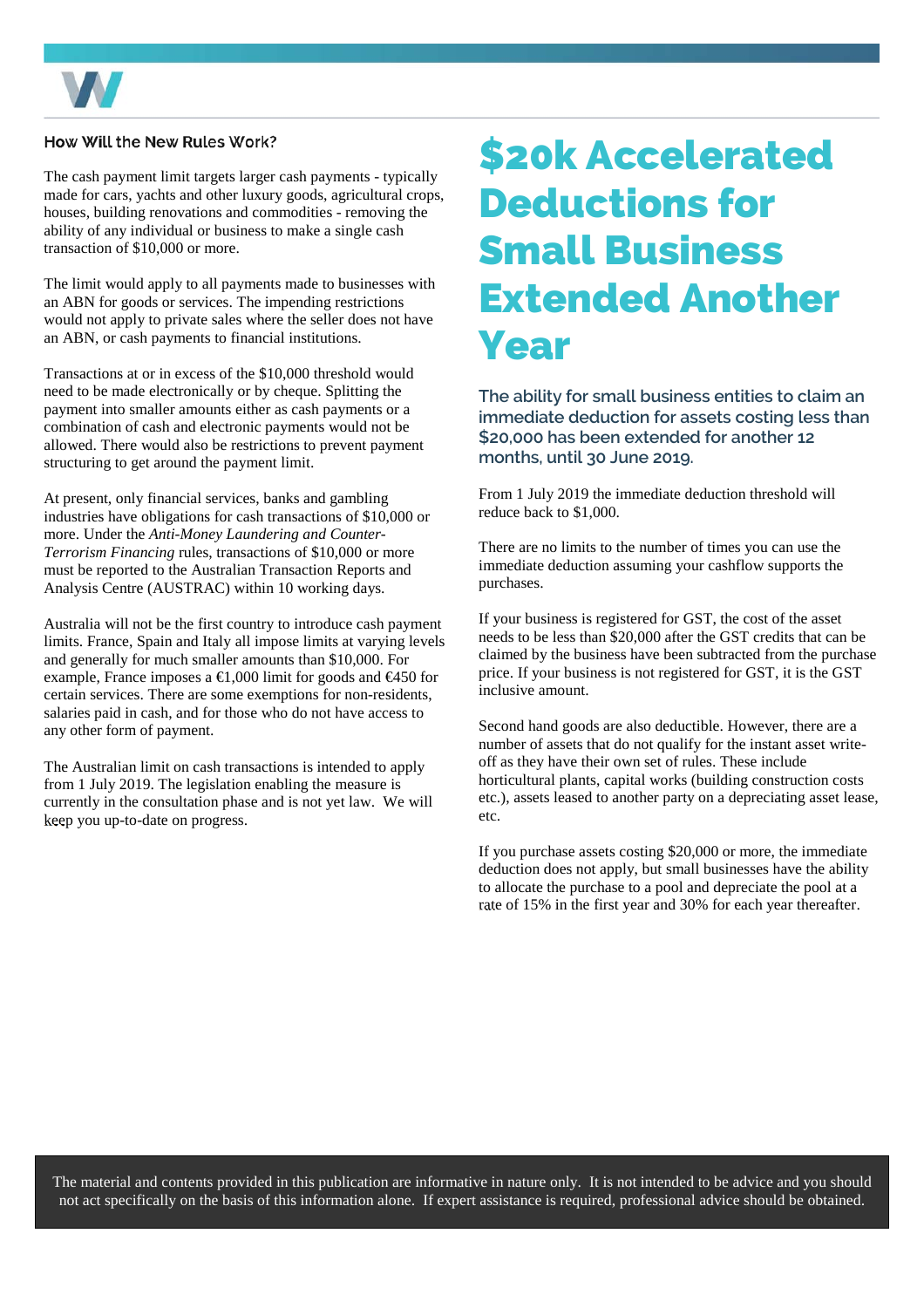

### How Will the New Rules Work?

The cash payment limit targets larger cash payments - typically made for cars, yachts and other luxury goods, agricultural crops, houses, building renovations and commodities - removing the ability of any individual or business to make a single cash transaction of \$10,000 or more.

The limit would apply to all payments made to businesses with an ABN for goods or services. The impending restrictions would not apply to private sales where the seller does not have an ABN, or cash payments to financial institutions.

Transactions at or in excess of the \$10,000 threshold would need to be made electronically or by cheque. Splitting the payment into smaller amounts either as cash payments or a combination of cash and electronic payments would not be allowed. There would also be restrictions to prevent payment structuring to get around the payment limit.

At present, only financial services, banks and gambling industries have obligations for cash transactions of \$10,000 or more. Under the *Anti-Money Laundering and Counter-Terrorism Financing* rules, transactions of \$10,000 or more must be reported to the Australian Transaction Reports and Analysis Centre (AUSTRAC) within 10 working days.

Australia will not be the first country to introduce cash payment limits. France, Spain and Italy all impose limits at varying levels and generally for much smaller amounts than \$10,000. For example, France imposes a  $\in$ 1,000 limit for goods and  $\in$ 450 for certain services. There are some exemptions for non-residents, salaries paid in cash, and for those who do not have access to any other form of payment.

The Australian limit on cash transactions is intended to apply from 1 July 2019. The legislation enabling the measure is currently in the consultation phase and is not yet law. We will keep you up-to-date on progress.

### \$20k Accelerated Deductions for Small Business Extended Another Year

**The ability for small business entities to claim an immediate deduction for assets costing less than \$20,000 has been extended for another 12 months, until 30 June 2019.** 

From 1 July 2019 the immediate deduction threshold will reduce back to \$1,000.

There are no limits to the number of times you can use the immediate deduction assuming your cashflow supports the purchases.

If your business is registered for GST, the cost of the asset needs to be less than \$20,000 after the GST credits that can be claimed by the business have been subtracted from the purchase price. If your business is not registered for GST, it is the GST inclusive amount.

Second hand goods are also deductible. However, there are a number of assets that do not qualify for the instant asset writeoff as they have their own set of rules. These include horticultural plants, capital works (building construction costs etc.), assets leased to another party on a depreciating asset lease, etc.

If you purchase assets costing \$20,000 or more, the immediate deduction does not apply, but small businesses have the ability to allocate the purchase to a pool and depreciate the pool at a rate of 15% in the first year and 30% for each year thereafter.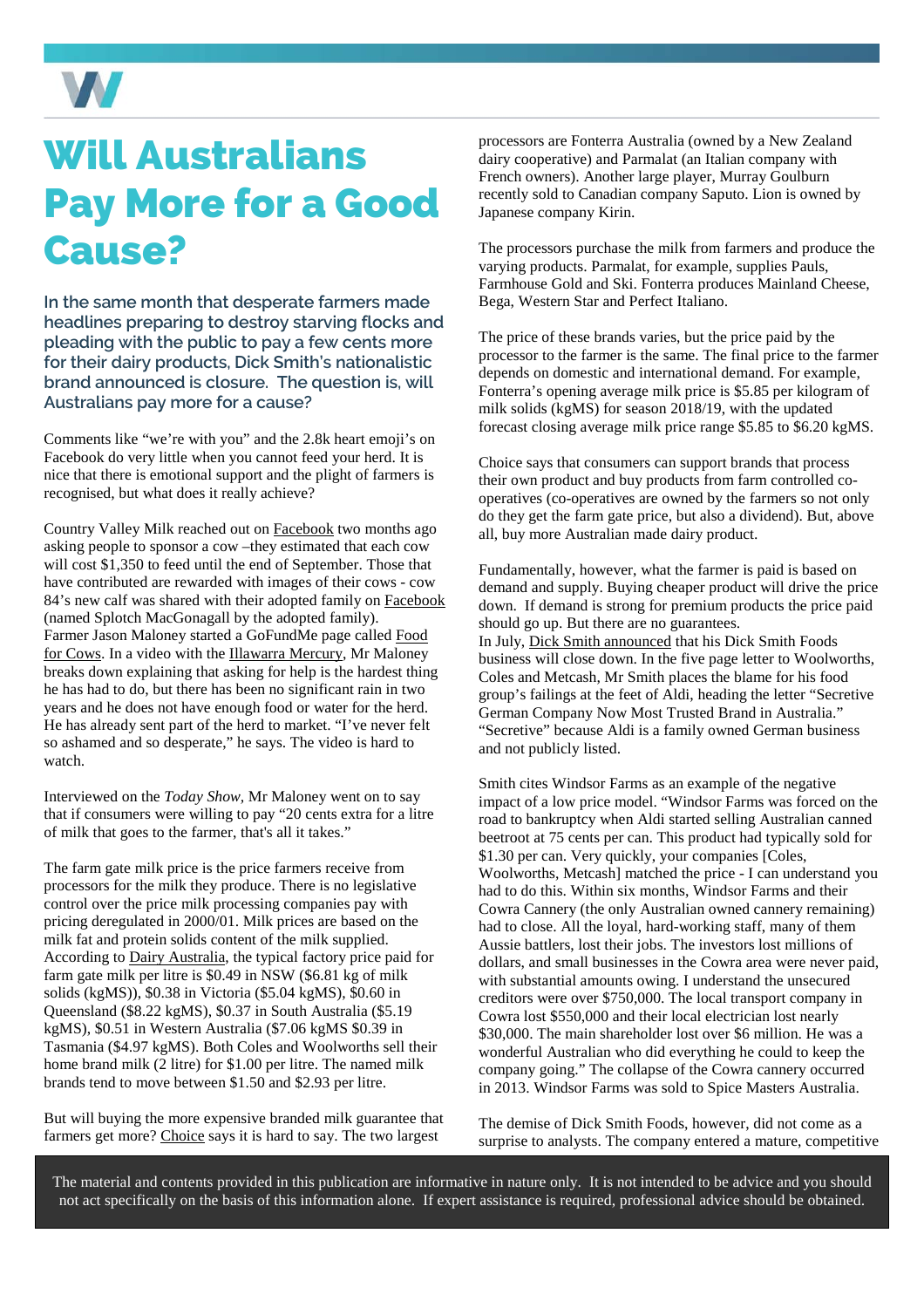

### Will Australians Pay More for a Good Cause?

**In the same month that desperate farmers made headlines preparing to destroy starving flocks and pleading with the public to pay a few cents more for their dairy products, Dick Smith's nationalistic brand announced is closure. The question is, will Australians pay more for a cause?** 

Comments like "we're with you" and the 2.8k heart emoji's on Facebook do very little when you cannot feed your herd. It is nice that there is emotional support and the plight of farmers is recognised, but what does it really achieve?

Country Valley Milk reached out on [Facebook](https://www.facebook.com/CountryValleyMilk/photos/a.774710159226174.1073741827.169448163085713/1896863240344188/?type=3&theater) two months ago asking people to sponsor a cow –they estimated that each cow will cost \$1,350 to feed until the end of September. Those that have contributed are rewarded with images of their cows - cow 84's new calf was shared with their adopted family o[n Facebook](https://www.facebook.com/CountryValleyMilk/photos/a.774710159226174.1073741827.169448163085713/1979473852083126/?type=3&theater)  (named Splotch MacGonagall by the adopted family). Farmer Jason Maloney started a GoFundMe page called [Food](https://www.gofundme.com/food-for-cows)  [for Cows](https://www.gofundme.com/food-for-cows). In a video with the [Illawarra Mercury,](https://www.facebook.com/Illawarramerc/videos/illawarra-dairy-farmer-jason-maloney-needs-your-help/10155438067126237/) Mr Maloney breaks down explaining that asking for help is the hardest thing he has had to do, but there has been no significant rain in two years and he does not have enough food or water for the herd. He has already sent part of the herd to market. "I've never felt so ashamed and so desperate," he says. The video is hard to watch.

Interviewed on the *Today Show,* Mr Maloney went on to say that if consumers were willing to pay "20 cents extra for a litre of milk that goes to the farmer, that's all it takes."

The farm gate milk price is the price farmers receive from processors for the milk they produce. There is no legislative control over the price milk processing companies pay with pricing deregulated in 2000/01. Milk prices are based on the milk fat and protein solids content of the milk supplied. According to [Dairy Australia,](https://www.dairyaustralia.com.au/industry/prices/farmgate-milk-price) the typical factory price paid for farm gate milk per litre is \$0.49 in NSW (\$6.81 kg of milk solids (kgMS)), \$0.38 in Victoria (\$5.04 kgMS), \$0.60 in Queensland (\$8.22 kgMS), \$0.37 in South Australia (\$5.19 kgMS), \$0.51 in Western Australia (\$7.06 kgMS \$0.39 in Tasmania (\$4.97 kgMS). Both Coles and Woolworths sell their home brand milk (2 litre) for \$1.00 per litre. The named milk brands tend to move between \$1.50 and \$2.93 per litre.

But will buying the more expensive branded milk guarantee that farmers get more? [Choice s](https://www.choice.com.au/food-and-drink/dairy/milk/articles/one-dollar-milk-and-the-australian-dairy-industry)ays it is hard to say. The two largest

processors are Fonterra Australia (owned by a New Zealand dairy cooperative) and Parmalat (an Italian company with French owners). Another large player, Murray Goulburn recently sold to Canadian company Saputo. Lion is owned by Japanese company Kirin.

The processors purchase the milk from farmers and produce the varying products. Parmalat, for example, supplies Pauls, Farmhouse Gold and Ski. Fonterra produces Mainland Cheese, Bega, Western Star and Perfect Italiano.

The price of these brands varies, but the price paid by the processor to the farmer is the same. The final price to the farmer depends on domestic and international demand. For example, Fonterra's opening average milk price is \$5.85 per kilogram of milk solids (kgMS) for season 2018/19, with the updated forecast closing average milk price range \$5.85 to \$6.20 kgMS.

Choice says that consumers can support brands that process their own product and buy products from farm controlled cooperatives (co-operatives are owned by the farmers so not only do they get the farm gate price, but also a dividend). But, above all, buy more Australian made dairy product.

Fundamentally, however, what the farmer is paid is based on demand and supply. Buying cheaper product will drive the price down. If demand is strong for premium products the price paid should go up. But there are no guarantees. In July, [Dick Smith announced](https://dicksmithfoods.com.au/dick-smith-foods-close/) that his Dick Smith Foods business will close down. In the five page letter to Woolworths, Coles and Metcash, Mr Smith places the blame for his food group's failings at the feet of Aldi, heading the letter "Secretive German Company Now Most Trusted Brand in Australia." "Secretive" because Aldi is a family owned German business and not publicly listed.

Smith cites Windsor Farms as an example of the negative impact of a low price model. "Windsor Farms was forced on the road to bankruptcy when Aldi started selling Australian canned beetroot at 75 cents per can. This product had typically sold for \$1.30 per can. Very quickly, your companies [Coles, Woolworths, Metcash] matched the price - I can understand you had to do this. Within six months, Windsor Farms and their Cowra Cannery (the only Australian owned cannery remaining) had to close. All the loyal, hard-working staff, many of them Aussie battlers, lost their jobs. The investors lost millions of dollars, and small businesses in the Cowra area were never paid, with substantial amounts owing. I understand the unsecured creditors were over \$750,000. The local transport company in Cowra lost \$550,000 and their local electrician lost nearly \$30,000. The main shareholder lost over \$6 million. He was a wonderful Australian who did everything he could to keep the company going." The collapse of the Cowra cannery occurred in 2013. Windsor Farms was sold to Spice Masters Australia.

The demise of Dick Smith Foods, however, did not come as a surprise to analysts. The company entered a mature, competitive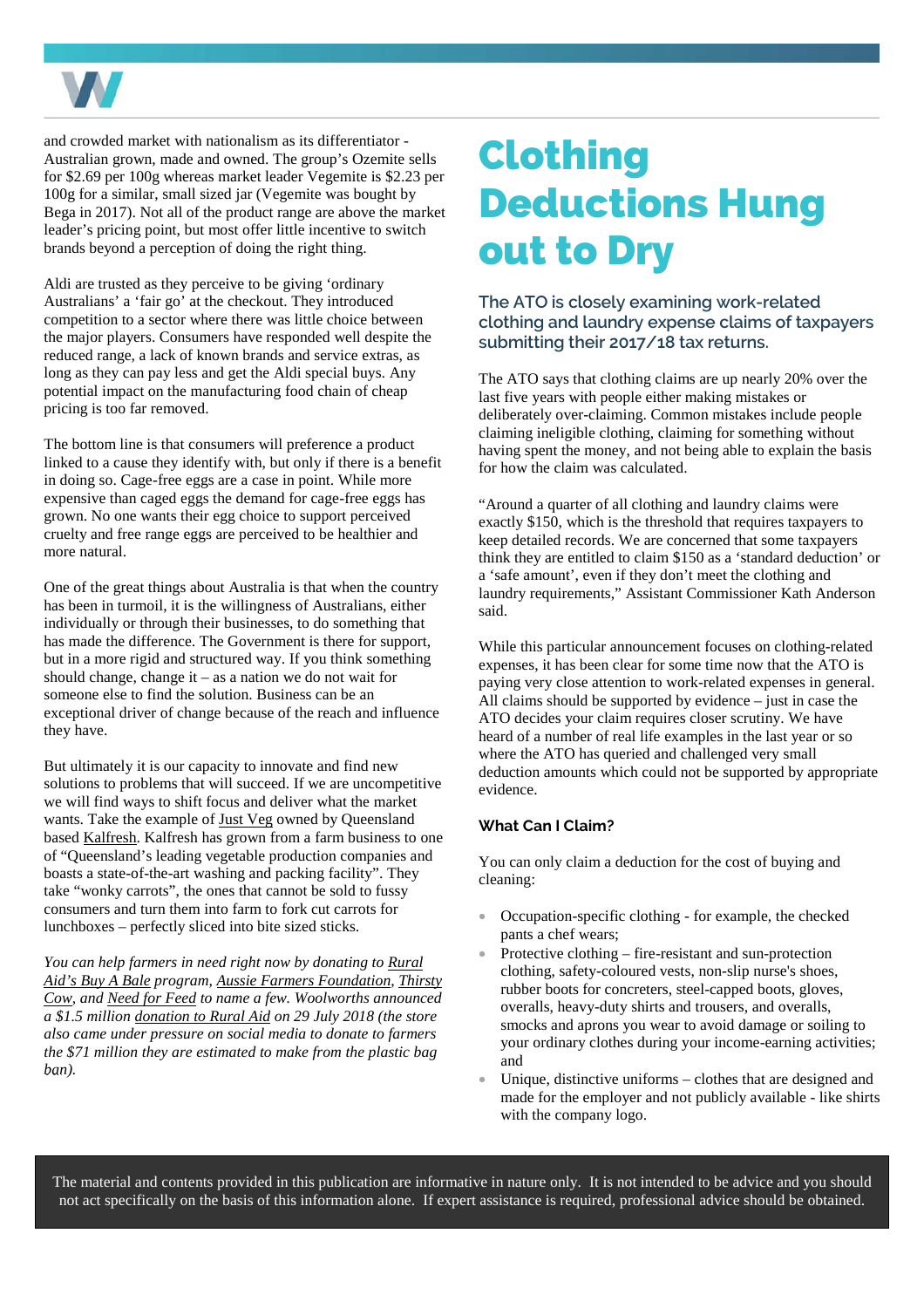

and crowded market with nationalism as its differentiator - Australian grown, made and owned. The group's Ozemite sells for \$2.69 per 100g whereas market leader Vegemite is \$2.23 per 100g for a similar, small sized jar (Vegemite was bought by Bega in 2017). Not all of the product range are above the market leader's pricing point, but most offer little incentive to switch brands beyond a perception of doing the right thing.

Aldi are trusted as they perceive to be giving 'ordinary Australians' a 'fair go' at the checkout. They introduced competition to a sector where there was little choice between the major players. Consumers have responded well despite the reduced range, a lack of known brands and service extras, as long as they can pay less and get the Aldi special buys. Any potential impact on the manufacturing food chain of cheap pricing is too far removed.

The bottom line is that consumers will preference a product linked to a cause they identify with, but only if there is a benefit in doing so. Cage-free eggs are a case in point. While more expensive than caged eggs the demand for cage-free eggs has grown. No one wants their egg choice to support perceived cruelty and free range eggs are perceived to be healthier and more natural.

One of the great things about Australia is that when the country has been in turmoil, it is the willingness of Australians, either individually or through their businesses, to do something that has made the difference. The Government is there for support, but in a more rigid and structured way. If you think something should change, change it – as a nation we do not wait for someone else to find the solution. Business can be an exceptional driver of change because of the reach and influence they have.

But ultimately it is our capacity to innovate and find new solutions to problems that will succeed. If we are uncompetitive we will find ways to shift focus and deliver what the market wants. Take the example of [Just Veg](https://www.justveg.com.au/) owned by Queensland base[d Kalfresh](http://kalfresh.com.au/main/). Kalfresh has grown from a farm business to one of "Queensland's leading vegetable production companies and boasts a state-of-the-art washing and packing facility". They take "wonky carrots", the ones that cannot be sold to fussy consumers and turn them into farm to fork cut carrots for lunchboxes – perfectly sliced into bite sized sticks.

*You can help farmers in need right now by donating to [Rural](http://www.ruralaid.org.au/buy-a-bale/)  [Aid's Buy A Bale](http://www.ruralaid.org.au/buy-a-bale/) program, [Aussie Farmers Foundation](http://www.aussiefarmersfoundation.org.au/), [Thirsty](http://www.thirstycow.org.au/)  [Cow](http://www.thirstycow.org.au/), and [Need for Feed](http://www.needforfeed.org/home-1.html) to name a few. Woolworths announced a \$1.5 million [donation to Rural Aid](https://www.woolworthsgroup.com.au/page/media/Latest_News/woolworths-supports-drought-affected-aussie-farmers-with-15million-funding-boost-to-rural-aid/) on 29 July 2018 (the store also came under pressure on social media to donate to farmers the \$71 million they are estimated to make from the plastic bag ban).* 

### Clothing Deductions Hung out to Dry

### **The ATO is closely examining work-related clothing and laundry expense claims of taxpayers submitting their 2017/18 tax returns.**

The ATO says that clothing claims are up nearly 20% over the last five years with people either making mistakes or deliberately over-claiming. Common mistakes include people claiming ineligible clothing, claiming for something without having spent the money, and not being able to explain the basis for how the claim was calculated.

"Around a quarter of all clothing and laundry claims were exactly \$150, which is the threshold that requires taxpayers to keep detailed records. We are concerned that some taxpayers think they are entitled to claim \$150 as a 'standard deduction' or a 'safe amount', even if they don't meet the clothing and laundry requirements," Assistant Commissioner Kath Anderson said.

While this particular announcement focuses on clothing-related expenses, it has been clear for some time now that the ATO is paying very close attention to work-related expenses in general. All claims should be supported by evidence – just in case the ATO decides your claim requires closer scrutiny. We have heard of a number of real life examples in the last year or so where the ATO has queried and challenged very small deduction amounts which could not be supported by appropriate evidence.

### **What Can I Claim?**

You can only claim a deduction for the cost of buying and cleaning:

- Occupation-specific clothing for example, the checked pants a chef wears;
- Protective clothing fire-resistant and sun-protection clothing, safety-coloured vests, non-slip nurse's shoes, rubber boots for concreters, steel-capped boots, gloves, overalls, heavy-duty shirts and trousers, and overalls, smocks and aprons you wear to avoid damage or soiling to your ordinary clothes during your income-earning activities; and
- Unique, distinctive uniforms clothes that are designed and made for the employer and not publicly available - like shirts with the company logo.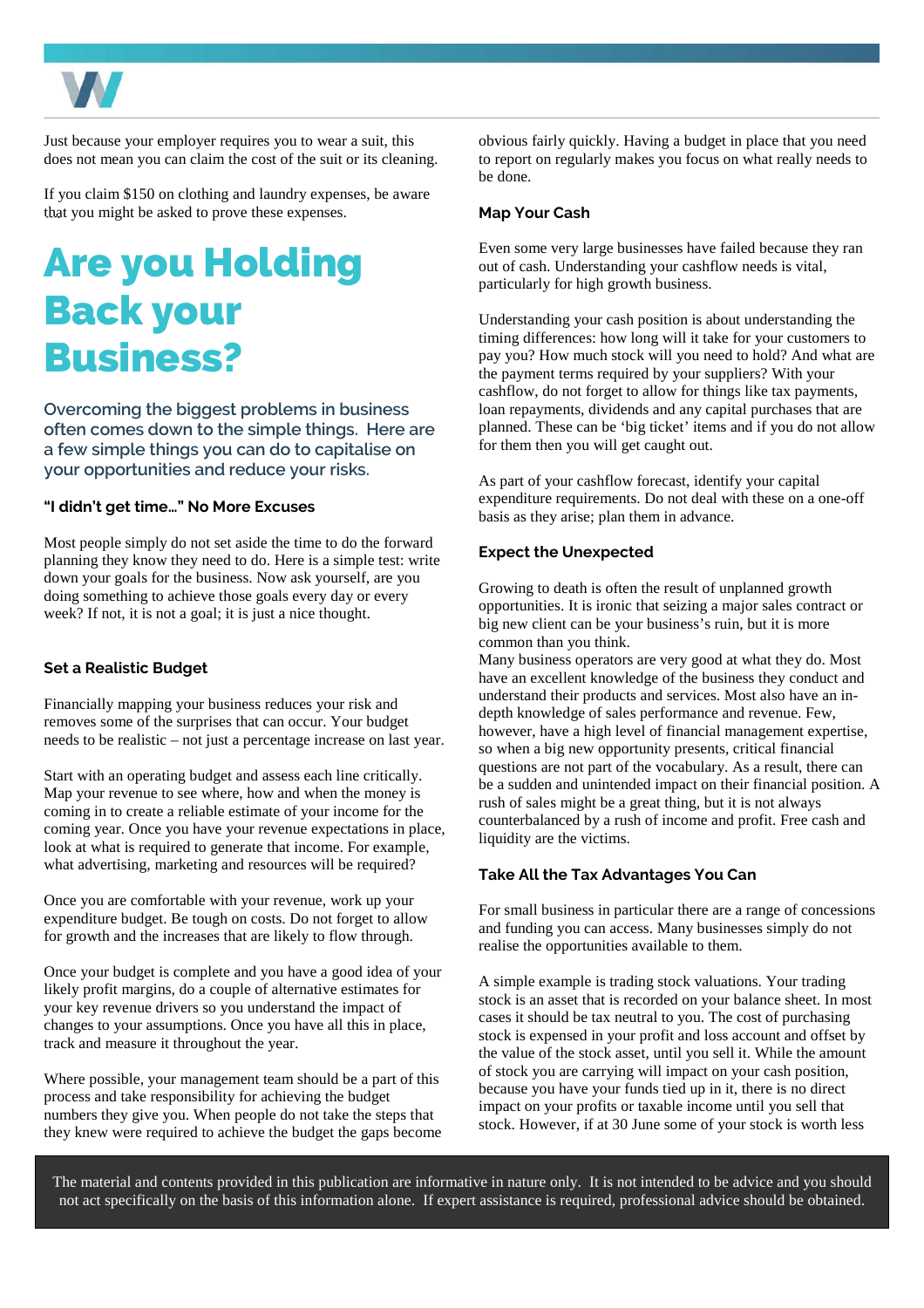

Just because your employer requires you to wear a suit, this does not mean you can claim the cost of the suit or its cleaning.

If you claim \$150 on clothing and laundry expenses, be aware that you might be asked to prove these expenses.

### Are you Holding Back your Business?

**Overcoming the biggest problems in business often comes down to the simple things. Here are a few simple things you can do to capitalise on your opportunities and reduce your risks.** 

### **"I didn't get time…" No More Excuses**

Most people simply do not set aside the time to do the forward planning they know they need to do. Here is a simple test: write down your goals for the business. Now ask yourself, are you doing something to achieve those goals every day or every week? If not, it is not a goal; it is just a nice thought.

### **Set a Realistic Budget**

Financially mapping your business reduces your risk and removes some of the surprises that can occur. Your budget needs to be realistic – not just a percentage increase on last year.

Start with an operating budget and assess each line critically. Map your revenue to see where, how and when the money is coming in to create a reliable estimate of your income for the coming year. Once you have your revenue expectations in place, look at what is required to generate that income. For example, what advertising, marketing and resources will be required?

Once you are comfortable with your revenue, work up your expenditure budget. Be tough on costs. Do not forget to allow for growth and the increases that are likely to flow through.

Once your budget is complete and you have a good idea of your likely profit margins, do a couple of alternative estimates for your key revenue drivers so you understand the impact of changes to your assumptions. Once you have all this in place, track and measure it throughout the year.

Where possible, your management team should be a part of this process and take responsibility for achieving the budget numbers they give you. When people do not take the steps that they knew were required to achieve the budget the gaps become obvious fairly quickly. Having a budget in place that you need to report on regularly makes you focus on what really needs to be done.

#### **Map Your Cash**

Even some very large businesses have failed because they ran out of cash. Understanding your cashflow needs is vital, particularly for high growth business.

Understanding your cash position is about understanding the timing differences: how long will it take for your customers to pay you? How much stock will you need to hold? And what are the payment terms required by your suppliers? With your cashflow, do not forget to allow for things like tax payments, loan repayments, dividends and any capital purchases that are planned. These can be 'big ticket' items and if you do not allow for them then you will get caught out.

As part of your cashflow forecast, identify your capital expenditure requirements. Do not deal with these on a one-off basis as they arise; plan them in advance.

### **Expect the Unexpected**

Growing to death is often the result of unplanned growth opportunities. It is ironic that seizing a major sales contract or big new client can be your business's ruin, but it is more common than you think.

Many business operators are very good at what they do. Most have an excellent knowledge of the business they conduct and understand their products and services. Most also have an indepth knowledge of sales performance and revenue. Few, however, have a high level of financial management expertise, so when a big new opportunity presents, critical financial questions are not part of the vocabulary. As a result, there can be a sudden and unintended impact on their financial position. A rush of sales might be a great thing, but it is not always counterbalanced by a rush of income and profit. Free cash and liquidity are the victims.

#### **Take All the Tax Advantages You Can**

For small business in particular there are a range of concessions and funding you can access. Many businesses simply do not realise the opportunities available to them.

A simple example is trading stock valuations. Your trading stock is an asset that is recorded on your balance sheet. In most cases it should be tax neutral to you. The cost of purchasing stock is expensed in your profit and loss account and offset by the value of the stock asset, until you sell it. While the amount of stock you are carrying will impact on your cash position, because you have your funds tied up in it, there is no direct impact on your profits or taxable income until you sell that stock. However, if at 30 June some of your stock is worth less